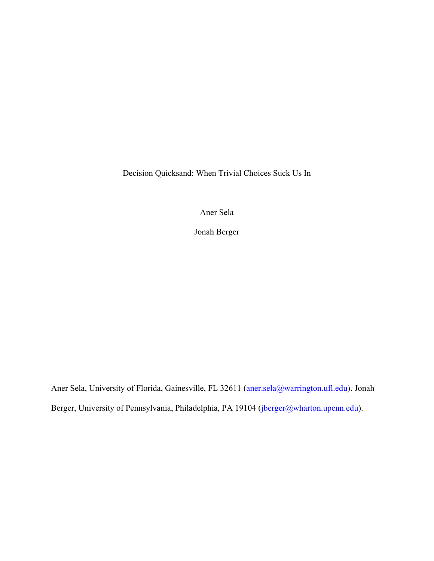Decision Quicksand: When Trivial Choices Suck Us In

Aner Sela

Jonah Berger

Aner Sela, University of Florida, Gainesville, FL 32611 (aner.sela@warrington.ufl.edu). Jonah Berger, University of Pennsylvania, Philadelphia, PA 19104 (jberger@wharton.upenn.edu).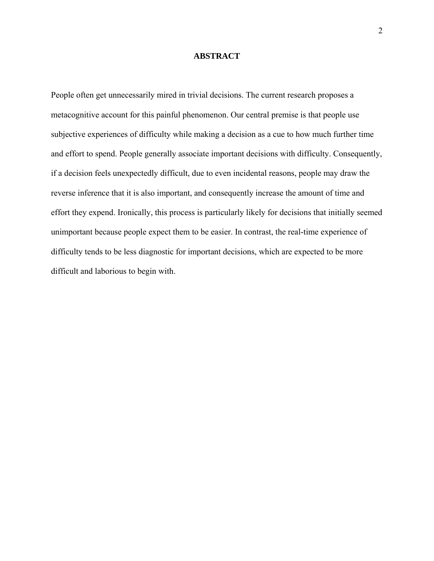### **ABSTRACT**

People often get unnecessarily mired in trivial decisions. The current research proposes a metacognitive account for this painful phenomenon. Our central premise is that people use subjective experiences of difficulty while making a decision as a cue to how much further time and effort to spend. People generally associate important decisions with difficulty. Consequently, if a decision feels unexpectedly difficult, due to even incidental reasons, people may draw the reverse inference that it is also important, and consequently increase the amount of time and effort they expend. Ironically, this process is particularly likely for decisions that initially seemed unimportant because people expect them to be easier. In contrast, the real-time experience of difficulty tends to be less diagnostic for important decisions, which are expected to be more difficult and laborious to begin with.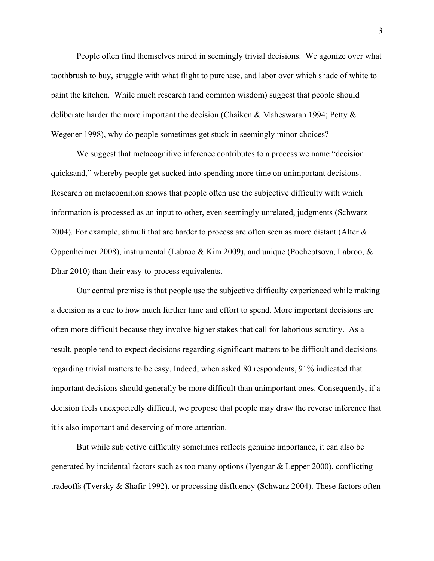People often find themselves mired in seemingly trivial decisions. We agonize over what toothbrush to buy, struggle with what flight to purchase, and labor over which shade of white to paint the kitchen. While much research (and common wisdom) suggest that people should deliberate harder the more important the decision (Chaiken & Maheswaran 1994; Petty & Wegener 1998), why do people sometimes get stuck in seemingly minor choices?

We suggest that metacognitive inference contributes to a process we name "decision quicksand," whereby people get sucked into spending more time on unimportant decisions. Research on metacognition shows that people often use the subjective difficulty with which information is processed as an input to other, even seemingly unrelated, judgments (Schwarz 2004). For example, stimuli that are harder to process are often seen as more distant (Alter & Oppenheimer 2008), instrumental (Labroo & Kim 2009), and unique (Pocheptsova, Labroo, & Dhar 2010) than their easy-to-process equivalents.

Our central premise is that people use the subjective difficulty experienced while making a decision as a cue to how much further time and effort to spend. More important decisions are often more difficult because they involve higher stakes that call for laborious scrutiny. As a result, people tend to expect decisions regarding significant matters to be difficult and decisions regarding trivial matters to be easy. Indeed, when asked 80 respondents, 91% indicated that important decisions should generally be more difficult than unimportant ones. Consequently, if a decision feels unexpectedly difficult, we propose that people may draw the reverse inference that it is also important and deserving of more attention.

But while subjective difficulty sometimes reflects genuine importance, it can also be generated by incidental factors such as too many options (Iyengar & Lepper 2000), conflicting tradeoffs (Tversky & Shafir 1992), or processing disfluency (Schwarz 2004). These factors often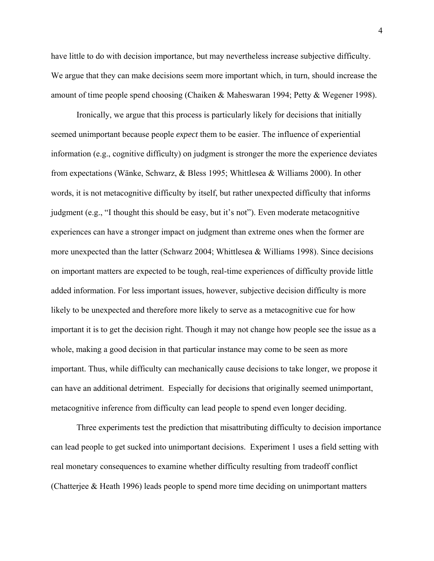have little to do with decision importance, but may nevertheless increase subjective difficulty. We argue that they can make decisions seem more important which, in turn, should increase the amount of time people spend choosing (Chaiken & Maheswaran 1994; Petty & Wegener 1998).

Ironically, we argue that this process is particularly likely for decisions that initially seemed unimportant because people *expect* them to be easier. The influence of experiential information (e.g., cognitive difficulty) on judgment is stronger the more the experience deviates from expectations (Wänke, Schwarz, & Bless 1995; Whittlesea & Williams 2000). In other words, it is not metacognitive difficulty by itself, but rather unexpected difficulty that informs judgment (e.g., "I thought this should be easy, but it's not"). Even moderate metacognitive experiences can have a stronger impact on judgment than extreme ones when the former are more unexpected than the latter (Schwarz 2004; Whittlesea & Williams 1998). Since decisions on important matters are expected to be tough, real-time experiences of difficulty provide little added information. For less important issues, however, subjective decision difficulty is more likely to be unexpected and therefore more likely to serve as a metacognitive cue for how important it is to get the decision right. Though it may not change how people see the issue as a whole, making a good decision in that particular instance may come to be seen as more important. Thus, while difficulty can mechanically cause decisions to take longer, we propose it can have an additional detriment. Especially for decisions that originally seemed unimportant, metacognitive inference from difficulty can lead people to spend even longer deciding.

Three experiments test the prediction that misattributing difficulty to decision importance can lead people to get sucked into unimportant decisions. Experiment 1 uses a field setting with real monetary consequences to examine whether difficulty resulting from tradeoff conflict (Chatterjee & Heath 1996) leads people to spend more time deciding on unimportant matters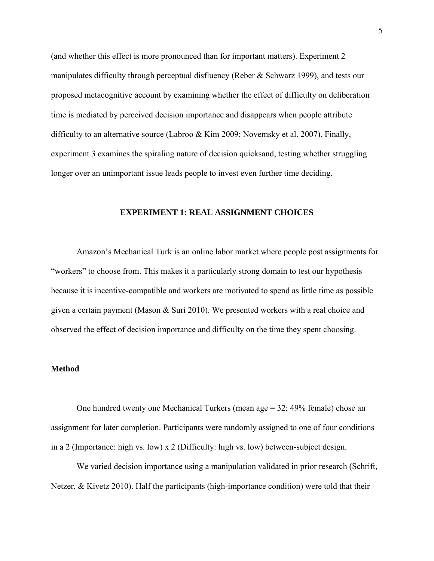(and whether this effect is more pronounced than for important matters). Experiment 2 manipulates difficulty through perceptual disfluency (Reber & Schwarz 1999), and tests our proposed metacognitive account by examining whether the effect of difficulty on deliberation time is mediated by perceived decision importance and disappears when people attribute difficulty to an alternative source (Labroo & Kim 2009; Novemsky et al. 2007). Finally, experiment 3 examines the spiraling nature of decision quicksand, testing whether struggling longer over an unimportant issue leads people to invest even further time deciding.

### **EXPERIMENT 1: REAL ASSIGNMENT CHOICES**

Amazon's Mechanical Turk is an online labor market where people post assignments for "workers" to choose from. This makes it a particularly strong domain to test our hypothesis because it is incentive-compatible and workers are motivated to spend as little time as possible given a certain payment (Mason & Suri 2010). We presented workers with a real choice and observed the effect of decision importance and difficulty on the time they spent choosing.

# **Method**

One hundred twenty one Mechanical Turkers (mean age = 32; 49% female) chose an assignment for later completion. Participants were randomly assigned to one of four conditions in a 2 (Importance: high vs. low) x 2 (Difficulty: high vs. low) between-subject design.

We varied decision importance using a manipulation validated in prior research (Schrift, Netzer,  $\&$  Kivetz 2010). Half the participants (high-importance condition) were told that their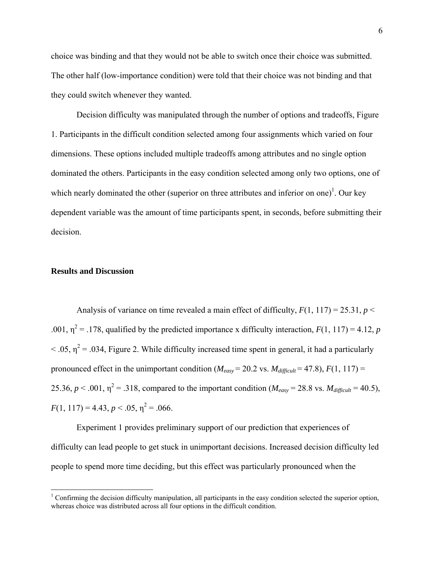choice was binding and that they would not be able to switch once their choice was submitted. The other half (low-importance condition) were told that their choice was not binding and that they could switch whenever they wanted.

Decision difficulty was manipulated through the number of options and tradeoffs, Figure 1. Participants in the difficult condition selected among four assignments which varied on four dimensions. These options included multiple tradeoffs among attributes and no single option dominated the others. Participants in the easy condition selected among only two options, one of which nearly dominated the other (superior on three attributes and inferior on one)<sup>1</sup>. Our key dependent variable was the amount of time participants spent, in seconds, before submitting their decision.

# **Results and Discussion**

 $\overline{a}$ 

Analysis of variance on time revealed a main effect of difficulty,  $F(1, 117) = 25.31$ ,  $p <$ .001,  $\eta^2$  = .178, qualified by the predicted importance x difficulty interaction,  $F(1, 117) = 4.12$ , *p*  $<$  0.05,  $\eta^2$  = 0.034, Figure 2. While difficulty increased time spent in general, it had a particularly pronounced effect in the unimportant condition ( $M_{easy} = 20.2$  vs.  $M_{difficult} = 47.8$ ),  $F(1, 117) =$ 25.36,  $p < .001$ ,  $\eta^2 = .318$ , compared to the important condition ( $M_{easy} = 28.8$  vs.  $M_{difficult} = 40.5$ ),  $F(1, 117) = 4.43, p < .05, \eta^2 = .066.$ 

Experiment 1 provides preliminary support of our prediction that experiences of difficulty can lead people to get stuck in unimportant decisions. Increased decision difficulty led people to spend more time deciding, but this effect was particularly pronounced when the

 $1$  Confirming the decision difficulty manipulation, all participants in the easy condition selected the superior option, whereas choice was distributed across all four options in the difficult condition.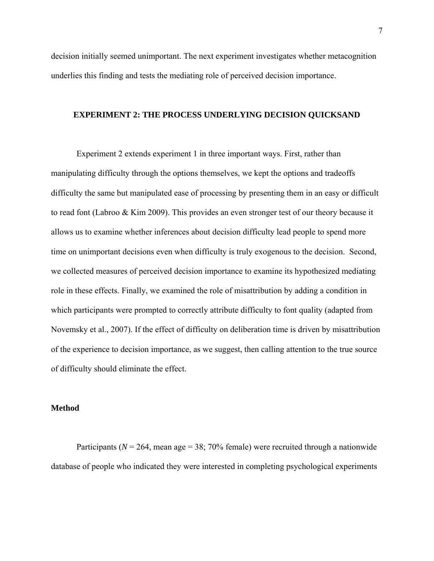decision initially seemed unimportant. The next experiment investigates whether metacognition underlies this finding and tests the mediating role of perceived decision importance.

# **EXPERIMENT 2: THE PROCESS UNDERLYING DECISION QUICKSAND**

Experiment 2 extends experiment 1 in three important ways. First, rather than manipulating difficulty through the options themselves, we kept the options and tradeoffs difficulty the same but manipulated ease of processing by presenting them in an easy or difficult to read font (Labroo & Kim 2009). This provides an even stronger test of our theory because it allows us to examine whether inferences about decision difficulty lead people to spend more time on unimportant decisions even when difficulty is truly exogenous to the decision. Second, we collected measures of perceived decision importance to examine its hypothesized mediating role in these effects. Finally, we examined the role of misattribution by adding a condition in which participants were prompted to correctly attribute difficulty to font quality (adapted from Novemsky et al., 2007). If the effect of difficulty on deliberation time is driven by misattribution of the experience to decision importance, as we suggest, then calling attention to the true source of difficulty should eliminate the effect.

# **Method**

Participants ( $N = 264$ , mean age = 38; 70% female) were recruited through a nationwide database of people who indicated they were interested in completing psychological experiments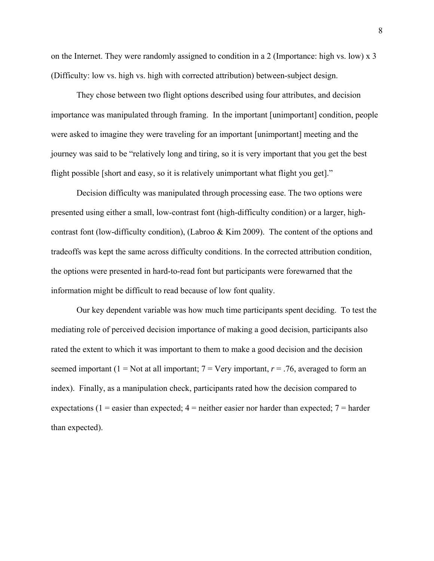on the Internet. They were randomly assigned to condition in a 2 (Importance: high vs. low) x 3 (Difficulty: low vs. high vs. high with corrected attribution) between-subject design.

They chose between two flight options described using four attributes, and decision importance was manipulated through framing. In the important [unimportant] condition, people were asked to imagine they were traveling for an important [unimportant] meeting and the journey was said to be "relatively long and tiring, so it is very important that you get the best flight possible [short and easy, so it is relatively unimportant what flight you get]."

Decision difficulty was manipulated through processing ease. The two options were presented using either a small, low-contrast font (high-difficulty condition) or a larger, highcontrast font (low-difficulty condition), (Labroo & Kim 2009). The content of the options and tradeoffs was kept the same across difficulty conditions. In the corrected attribution condition, the options were presented in hard-to-read font but participants were forewarned that the information might be difficult to read because of low font quality.

Our key dependent variable was how much time participants spent deciding. To test the mediating role of perceived decision importance of making a good decision, participants also rated the extent to which it was important to them to make a good decision and the decision seemed important (1 = Not at all important;  $7 =$  Very important,  $r = .76$ , averaged to form an index). Finally, as a manipulation check, participants rated how the decision compared to expectations (1 = easier than expected;  $4$  = neither easier nor harder than expected;  $7$  = harder than expected).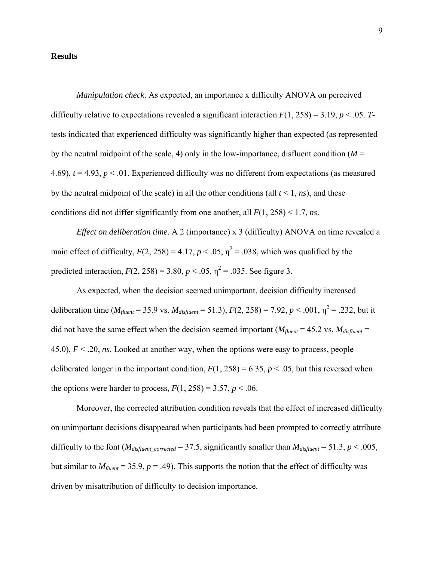#### **Results**

*Manipulation check*. As expected, an importance x difficulty ANOVA on perceived difficulty relative to expectations revealed a significant interaction  $F(1, 258) = 3.19$ ,  $p < .05$ . *T*tests indicated that experienced difficulty was significantly higher than expected (as represented by the neutral midpoint of the scale, 4) only in the low-importance, disfluent condition  $(M =$ 4.69),  $t = 4.93$ ,  $p < 0.01$ . Experienced difficulty was no different from expectations (as measured by the neutral midpoint of the scale) in all the other conditions (all *t* < 1, *ns*), and these conditions did not differ significantly from one another, all *F*(1, 258) < 1.7, *ns*.

*Effect on deliberation time.* A 2 (importance) x 3 (difficulty) ANOVA on time revealed a main effect of difficulty,  $F(2, 258) = 4.17$ ,  $p < .05$ ,  $\eta^2 = .038$ , which was qualified by the predicted interaction,  $F(2, 258) = 3.80$ ,  $p < .05$ ,  $\eta^2 = .035$ . See figure 3.

As expected, when the decision seemed unimportant, decision difficulty increased deliberation time ( $M_{fluent}$  = 35.9 vs.  $M_{disfluent}$  = 51.3),  $F(2, 258)$  = 7.92,  $p < .001$ ,  $\eta^2$  = .232, but it did not have the same effect when the decision seemed important ( $M_{fluent} = 45.2$  vs.  $M_{disfluent} =$ 45.0), *F* < .20, *ns*. Looked at another way, when the options were easy to process, people deliberated longer in the important condition,  $F(1, 258) = 6.35$ ,  $p < .05$ , but this reversed when the options were harder to process,  $F(1, 258) = 3.57$ ,  $p < .06$ .

Moreover, the corrected attribution condition reveals that the effect of increased difficulty on unimportant decisions disappeared when participants had been prompted to correctly attribute difficulty to the font ( $M_{disfluent\_corrected} = 37.5$ , significantly smaller than  $M_{disfluent} = 51.3$ ,  $p < .005$ , but similar to  $M_{fluent}$  = 35.9,  $p = .49$ ). This supports the notion that the effect of difficulty was driven by misattribution of difficulty to decision importance.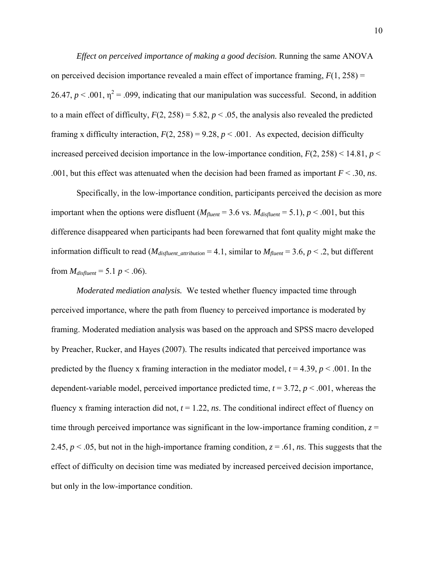*Effect on perceived importance of making a good decision.* Running the same ANOVA on perceived decision importance revealed a main effect of importance framing, *F*(1, 258) = 26.47,  $p < .001$ ,  $\eta^2 = .099$ , indicating that our manipulation was successful. Second, in addition to a main effect of difficulty,  $F(2, 258) = 5.82$ ,  $p < .05$ , the analysis also revealed the predicted framing x difficulty interaction,  $F(2, 258) = 9.28$ ,  $p < .001$ . As expected, decision difficulty increased perceived decision importance in the low-importance condition,  $F(2, 258) < 14.81$ ,  $p <$ .001, but this effect was attenuated when the decision had been framed as important *F* < .30, *ns*.

Specifically, in the low-importance condition, participants perceived the decision as more important when the options were disfluent ( $M_{fluent}$  = 3.6 vs.  $M_{disfluent}$  = 5.1),  $p < .001$ , but this difference disappeared when participants had been forewarned that font quality might make the information difficult to read ( $M_{\text{disfluent\_attribution}} = 4.1$ , similar to  $M_{\text{fluent}} = 3.6$ ,  $p < .2$ , but different from  $M_{distluent} = 5.1 \, p \le .06$ ).

*Moderated mediation analysis.* We tested whether fluency impacted time through perceived importance, where the path from fluency to perceived importance is moderated by framing. Moderated mediation analysis was based on the approach and SPSS macro developed by Preacher, Rucker, and Hayes (2007). The results indicated that perceived importance was predicted by the fluency x framing interaction in the mediator model,  $t = 4.39$ ,  $p < .001$ . In the dependent-variable model, perceived importance predicted time,  $t = 3.72$ ,  $p < .001$ , whereas the fluency x framing interaction did not,  $t = 1.22$ , *ns*. The conditional indirect effect of fluency on time through perceived importance was significant in the low-importance framing condition,  $z =$ 2.45,  $p < 0.05$ , but not in the high-importance framing condition,  $z = 0.61$ , *ns*. This suggests that the effect of difficulty on decision time was mediated by increased perceived decision importance, but only in the low-importance condition.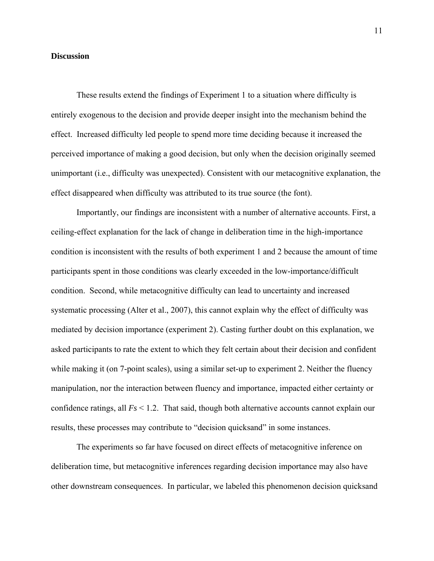# **Discussion**

These results extend the findings of Experiment 1 to a situation where difficulty is entirely exogenous to the decision and provide deeper insight into the mechanism behind the effect. Increased difficulty led people to spend more time deciding because it increased the perceived importance of making a good decision, but only when the decision originally seemed unimportant (i.e., difficulty was unexpected). Consistent with our metacognitive explanation, the effect disappeared when difficulty was attributed to its true source (the font).

Importantly, our findings are inconsistent with a number of alternative accounts. First, a ceiling-effect explanation for the lack of change in deliberation time in the high-importance condition is inconsistent with the results of both experiment 1 and 2 because the amount of time participants spent in those conditions was clearly exceeded in the low-importance/difficult condition. Second, while metacognitive difficulty can lead to uncertainty and increased systematic processing (Alter et al., 2007), this cannot explain why the effect of difficulty was mediated by decision importance (experiment 2). Casting further doubt on this explanation, we asked participants to rate the extent to which they felt certain about their decision and confident while making it (on 7-point scales), using a similar set-up to experiment 2. Neither the fluency manipulation, nor the interaction between fluency and importance, impacted either certainty or confidence ratings, all *Fs* < 1.2. That said, though both alternative accounts cannot explain our results, these processes may contribute to "decision quicksand" in some instances.

The experiments so far have focused on direct effects of metacognitive inference on deliberation time, but metacognitive inferences regarding decision importance may also have other downstream consequences. In particular, we labeled this phenomenon decision quicksand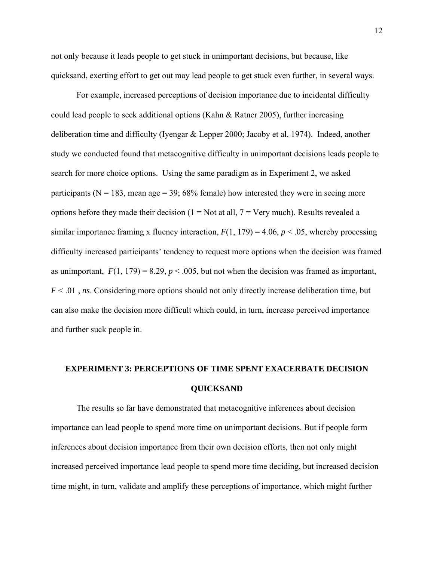not only because it leads people to get stuck in unimportant decisions, but because, like quicksand, exerting effort to get out may lead people to get stuck even further, in several ways.

For example, increased perceptions of decision importance due to incidental difficulty could lead people to seek additional options (Kahn & Ratner 2005), further increasing deliberation time and difficulty (Iyengar & Lepper 2000; Jacoby et al. 1974). Indeed, another study we conducted found that metacognitive difficulty in unimportant decisions leads people to search for more choice options. Using the same paradigm as in Experiment 2, we asked participants ( $N = 183$ , mean age = 39; 68% female) how interested they were in seeing more options before they made their decision ( $1 = Not$  at all,  $7 = Very$  much). Results revealed a similar importance framing x fluency interaction,  $F(1, 179) = 4.06$ ,  $p < .05$ , whereby processing difficulty increased participants' tendency to request more options when the decision was framed as unimportant,  $F(1, 179) = 8.29$ ,  $p < .005$ , but not when the decision was framed as important, *F* < .01 , *ns*. Considering more options should not only directly increase deliberation time, but can also make the decision more difficult which could, in turn, increase perceived importance and further suck people in.

# **EXPERIMENT 3: PERCEPTIONS OF TIME SPENT EXACERBATE DECISION QUICKSAND**

The results so far have demonstrated that metacognitive inferences about decision importance can lead people to spend more time on unimportant decisions. But if people form inferences about decision importance from their own decision efforts, then not only might increased perceived importance lead people to spend more time deciding, but increased decision time might, in turn, validate and amplify these perceptions of importance, which might further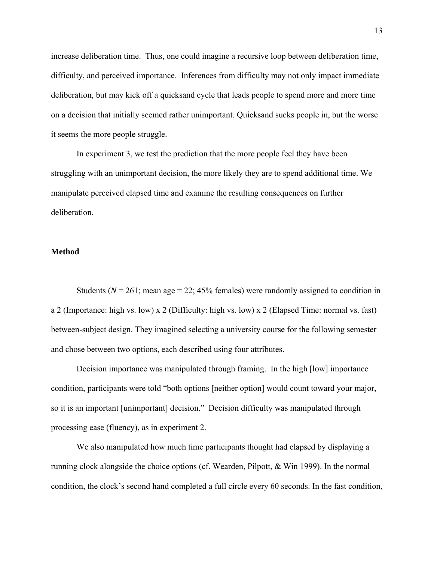increase deliberation time. Thus, one could imagine a recursive loop between deliberation time, difficulty, and perceived importance. Inferences from difficulty may not only impact immediate deliberation, but may kick off a quicksand cycle that leads people to spend more and more time on a decision that initially seemed rather unimportant. Quicksand sucks people in, but the worse it seems the more people struggle.

In experiment 3, we test the prediction that the more people feel they have been struggling with an unimportant decision, the more likely they are to spend additional time. We manipulate perceived elapsed time and examine the resulting consequences on further deliberation.

### **Method**

Students ( $N = 261$ ; mean age  $= 22$ ; 45% females) were randomly assigned to condition in a 2 (Importance: high vs. low) x 2 (Difficulty: high vs. low) x 2 (Elapsed Time: normal vs. fast) between-subject design. They imagined selecting a university course for the following semester and chose between two options, each described using four attributes.

Decision importance was manipulated through framing. In the high [low] importance condition, participants were told "both options [neither option] would count toward your major, so it is an important [unimportant] decision." Decision difficulty was manipulated through processing ease (fluency), as in experiment 2.

We also manipulated how much time participants thought had elapsed by displaying a running clock alongside the choice options (cf. Wearden, Pilpott, & Win 1999). In the normal condition, the clock's second hand completed a full circle every 60 seconds. In the fast condition,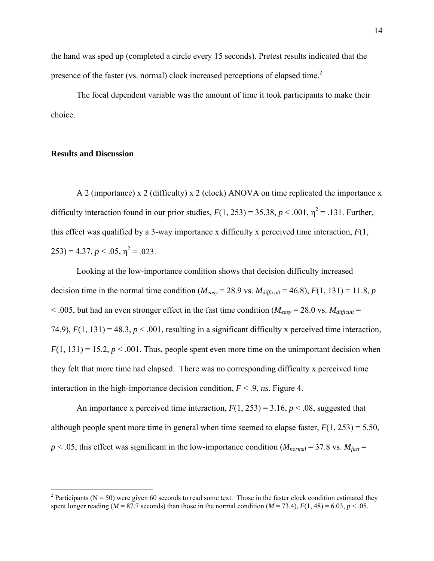the hand was sped up (completed a circle every 15 seconds). Pretest results indicated that the presence of the faster (vs. normal) clock increased perceptions of elapsed time.<sup>2</sup>

The focal dependent variable was the amount of time it took participants to make their choice.

# **Results and Discussion**

A 2 (importance) x 2 (difficulty) x 2 (clock) ANOVA on time replicated the importance x difficulty interaction found in our prior studies,  $F(1, 253) = 35.38$ ,  $p < .001$ ,  $\eta^2 = .131$ . Further, this effect was qualified by a 3-way importance x difficulty x perceived time interaction,  $F(1)$ ,  $(253) = 4.37, p < .05, \eta^2 = .023.$ 

Looking at the low-importance condition shows that decision difficulty increased decision time in the normal time condition ( $M_{easy} = 28.9$  vs.  $M_{difficult} = 46.8$ ),  $F(1, 131) = 11.8$ , *p*  $<$  0.005, but had an even stronger effect in the fast time condition ( $M_{easy}$  = 28.0 vs.  $M_{difficult}$  = 74.9),  $F(1, 131) = 48.3$ ,  $p < .001$ , resulting in a significant difficulty x perceived time interaction,  $F(1, 131) = 15.2, p < .001$ . Thus, people spent even more time on the unimportant decision when they felt that more time had elapsed. There was no corresponding difficulty x perceived time interaction in the high-importance decision condition,  $F < 0$ , *ns*. Figure 4.

An importance x perceived time interaction,  $F(1, 253) = 3.16$ ,  $p < .08$ , suggested that although people spent more time in general when time seemed to elapse faster,  $F(1, 253) = 5.50$ ,  $p < .05$ , this effect was significant in the low-importance condition ( $M_{normal} = 37.8$  vs.  $M_{fast} =$ 

 $\frac{1}{2}$  Participants (N = 50) were given 60 seconds to read some text. Those in the faster clock condition estimated they spent longer reading ( $M = 87.7$  seconds) than those in the normal condition ( $M = 73.4$ ),  $F(1, 48) = 6.03$ ,  $p < .05$ .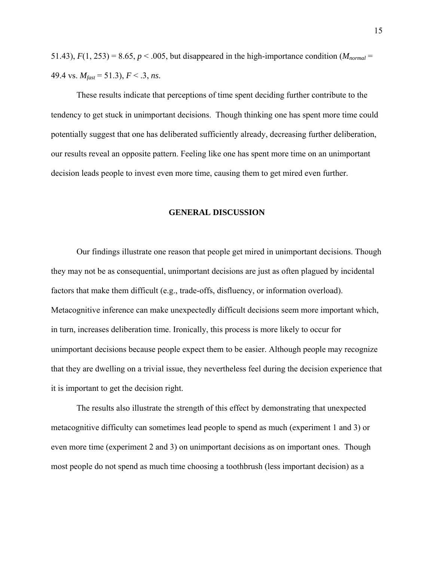51.43),  $F(1, 253) = 8.65$ ,  $p < .005$ , but disappeared in the high-importance condition ( $M_{normal}$ 49.4 vs.  $M_{\text{fast}}$  = 51.3),  $F < .3$ , *ns*.

These results indicate that perceptions of time spent deciding further contribute to the tendency to get stuck in unimportant decisions. Though thinking one has spent more time could potentially suggest that one has deliberated sufficiently already, decreasing further deliberation, our results reveal an opposite pattern. Feeling like one has spent more time on an unimportant decision leads people to invest even more time, causing them to get mired even further.

### **GENERAL DISCUSSION**

Our findings illustrate one reason that people get mired in unimportant decisions. Though they may not be as consequential, unimportant decisions are just as often plagued by incidental factors that make them difficult (e.g., trade-offs, disfluency, or information overload). Metacognitive inference can make unexpectedly difficult decisions seem more important which, in turn, increases deliberation time. Ironically, this process is more likely to occur for unimportant decisions because people expect them to be easier. Although people may recognize that they are dwelling on a trivial issue, they nevertheless feel during the decision experience that it is important to get the decision right.

The results also illustrate the strength of this effect by demonstrating that unexpected metacognitive difficulty can sometimes lead people to spend as much (experiment 1 and 3) or even more time (experiment 2 and 3) on unimportant decisions as on important ones. Though most people do not spend as much time choosing a toothbrush (less important decision) as a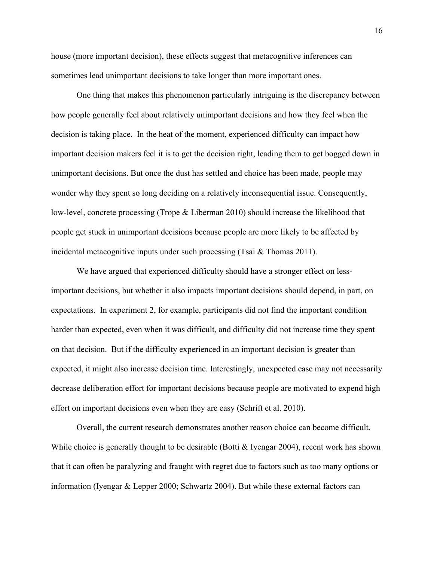house (more important decision), these effects suggest that metacognitive inferences can sometimes lead unimportant decisions to take longer than more important ones.

One thing that makes this phenomenon particularly intriguing is the discrepancy between how people generally feel about relatively unimportant decisions and how they feel when the decision is taking place. In the heat of the moment, experienced difficulty can impact how important decision makers feel it is to get the decision right, leading them to get bogged down in unimportant decisions. But once the dust has settled and choice has been made, people may wonder why they spent so long deciding on a relatively inconsequential issue. Consequently, low-level, concrete processing (Trope & Liberman 2010) should increase the likelihood that people get stuck in unimportant decisions because people are more likely to be affected by incidental metacognitive inputs under such processing (Tsai  $\&$  Thomas 2011).

We have argued that experienced difficulty should have a stronger effect on lessimportant decisions, but whether it also impacts important decisions should depend, in part, on expectations. In experiment 2, for example, participants did not find the important condition harder than expected, even when it was difficult, and difficulty did not increase time they spent on that decision. But if the difficulty experienced in an important decision is greater than expected, it might also increase decision time. Interestingly, unexpected ease may not necessarily decrease deliberation effort for important decisions because people are motivated to expend high effort on important decisions even when they are easy (Schrift et al. 2010).

Overall, the current research demonstrates another reason choice can become difficult. While choice is generally thought to be desirable (Botti & Iyengar 2004), recent work has shown that it can often be paralyzing and fraught with regret due to factors such as too many options or information (Iyengar & Lepper 2000; Schwartz 2004). But while these external factors can

16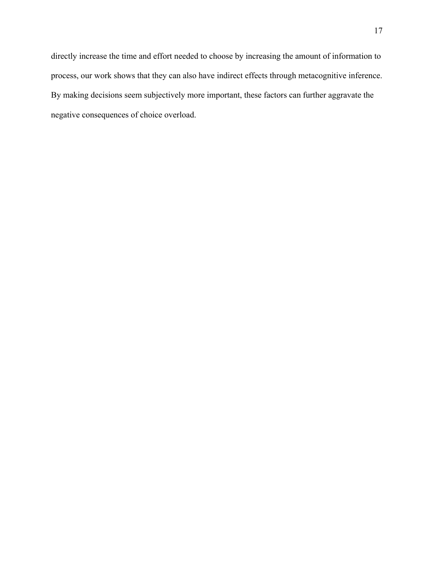directly increase the time and effort needed to choose by increasing the amount of information to process, our work shows that they can also have indirect effects through metacognitive inference. By making decisions seem subjectively more important, these factors can further aggravate the negative consequences of choice overload.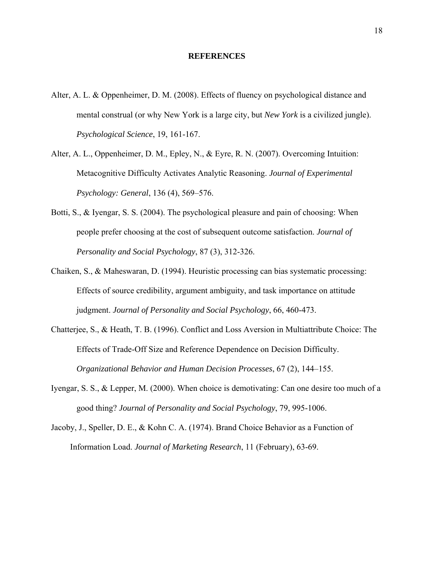#### **REFERENCES**

- Alter, A. L. & Oppenheimer, D. M. (2008). Effects of fluency on psychological distance and mental construal (or why New York is a large city, but *New York* is a civilized jungle). *Psychological Science*, 19, 161-167.
- Alter, A. L., Oppenheimer, D. M., Epley, N., & Eyre, R. N. (2007). Overcoming Intuition: Metacognitive Difficulty Activates Analytic Reasoning. *Journal of Experimental Psychology: General*, 136 (4), 569–576.
- Botti, S., & Iyengar, S. S. (2004). The psychological pleasure and pain of choosing: When people prefer choosing at the cost of subsequent outcome satisfaction. *Journal of Personality and Social Psychology*, 87 (3), 312-326.
- Chaiken, S., & Maheswaran, D. (1994). Heuristic processing can bias systematic processing: Effects of source credibility, argument ambiguity, and task importance on attitude judgment. *Journal of Personality and Social Psychology*, 66, 460-473.
- Chatterjee, S., & Heath, T. B. (1996). Conflict and Loss Aversion in Multiattribute Choice: The Effects of Trade-Off Size and Reference Dependence on Decision Difficulty. *Organizational Behavior and Human Decision Processes*, 67 (2), 144–155.
- Iyengar, S. S., & Lepper, M. (2000). When choice is demotivating: Can one desire too much of a good thing? *Journal of Personality and Social Psychology*, 79, 995-1006.
- Jacoby, J., Speller, D. E., & Kohn C. A. (1974). Brand Choice Behavior as a Function of Information Load. *Journal of Marketing Research*, 11 (February), 63-69.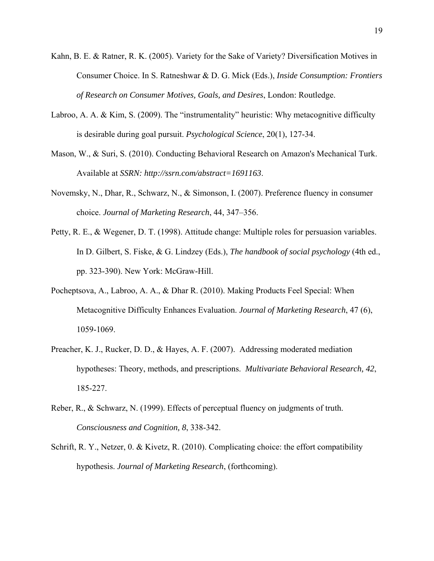- Kahn, B. E. & Ratner, R. K. (2005). Variety for the Sake of Variety? Diversification Motives in Consumer Choice. In S. Ratneshwar & D. G. Mick (Eds.), *Inside Consumption: Frontiers of Research on Consumer Motives, Goals, and Desires*, London: Routledge.
- Labroo, A. A. & Kim, S. (2009). The "instrumentality" heuristic: Why metacognitive difficulty is desirable during goal pursuit. *Psychological Science*, 20(1), 127-34.
- Mason, W., & Suri, S. (2010). Conducting Behavioral Research on Amazon's Mechanical Turk. Available at *SSRN: http://ssrn.com/abstract=1691163*.
- Novemsky, N., Dhar, R., Schwarz, N., & Simonson, I. (2007). Preference fluency in consumer choice. *Journal of Marketing Research*, 44, 347–356.
- Petty, R. E., & Wegener, D. T. (1998). Attitude change: Multiple roles for persuasion variables. In D. Gilbert, S. Fiske, & G. Lindzey (Eds.), *The handbook of social psychology* (4th ed., pp. 323-390). New York: McGraw-Hill.
- Pocheptsova, A., Labroo, A. A., & Dhar R. (2010). Making Products Feel Special: When Metacognitive Difficulty Enhances Evaluation. *Journal of Marketing Research*, 47 (6), 1059-1069.
- Preacher, K. J., Rucker, D. D., & Hayes, A. F. (2007). Addressing moderated mediation hypotheses: Theory, methods, and prescriptions. *Multivariate Behavioral Research, 42*, 185-227.
- Reber, R., & Schwarz, N. (1999). Effects of perceptual fluency on judgments of truth. *Consciousness and Cognition, 8*, 338-342.
- Schrift, R. Y., Netzer, 0. & Kivetz, R. (2010). Complicating choice: the effort compatibility hypothesis. *Journal of Marketing Research*, (forthcoming).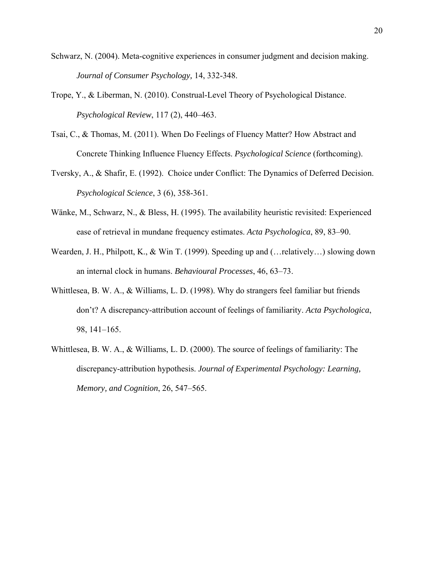- Schwarz, N. (2004). Meta-cognitive experiences in consumer judgment and decision making. *Journal of Consumer Psychology,* 14, 332-348.
- Trope, Y., & Liberman, N. (2010). Construal-Level Theory of Psychological Distance. *Psychological Review*, 117 (2), 440–463.
- Tsai, C., & Thomas, M. (2011). When Do Feelings of Fluency Matter? How Abstract and Concrete Thinking Influence Fluency Effects. *Psychological Science* (forthcoming).
- Tversky, A., & Shafir, E. (1992). Choice under Conflict: The Dynamics of Deferred Decision. *Psychological Science*, 3 (6), 358-361.
- Wänke, M., Schwarz, N., & Bless, H. (1995). The availability heuristic revisited: Experienced ease of retrieval in mundane frequency estimates. *Acta Psychologica*, 89, 83–90.
- Wearden, J. H., Philpott, K., & Win T. (1999). Speeding up and (... relatively...) slowing down an internal clock in humans. *Behavioural Processes*, 46, 63–73.
- Whittlesea, B. W. A., & Williams, L. D. (1998). Why do strangers feel familiar but friends don't? A discrepancy-attribution account of feelings of familiarity. *Acta Psychologica*, 98, 141–165.
- Whittlesea, B. W. A., & Williams, L. D. (2000). The source of feelings of familiarity: The discrepancy-attribution hypothesis. *Journal of Experimental Psychology: Learning, Memory, and Cognition*, 26, 547–565.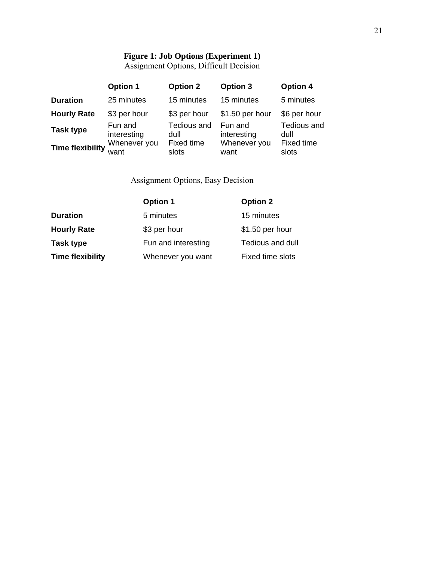# **Figure 1: Job Options (Experiment 1)**

Assignment Options, Difficult Decision

|                         | <b>Option 1</b>        | <b>Option 2</b>     | <b>Option 3</b>        | <b>Option 4</b>     |
|-------------------------|------------------------|---------------------|------------------------|---------------------|
| <b>Duration</b>         | 25 minutes             | 15 minutes          | 15 minutes             | 5 minutes           |
| <b>Hourly Rate</b>      | \$3 per hour           | \$3 per hour        | \$1.50 per hour        | \$6 per hour        |
| <b>Task type</b>        | Fun and<br>interesting | Tedious and<br>dull | Fun and<br>interesting | Tedious and<br>dull |
| <b>Time flexibility</b> | Whenever you<br>want   | Fixed time<br>slots | Whenever you<br>want   | Fixed time<br>slots |

Assignment Options, Easy Decision

|                         | <b>Option 1</b>     | <b>Option 2</b>  |
|-------------------------|---------------------|------------------|
| <b>Duration</b>         | 5 minutes           | 15 minutes       |
| <b>Hourly Rate</b>      | \$3 per hour        | \$1.50 per hour  |
| Task type               | Fun and interesting | Tedious and dull |
| <b>Time flexibility</b> | Whenever you want   | Fixed time slots |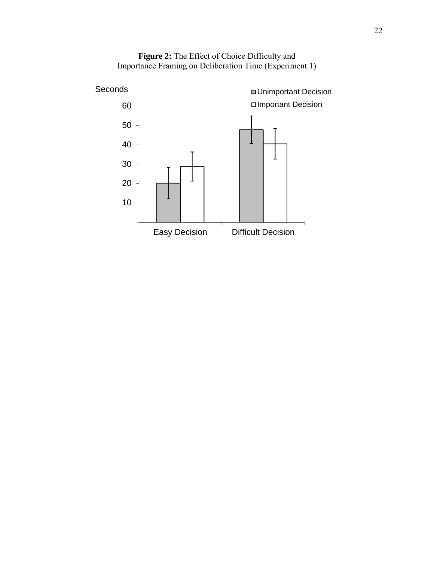

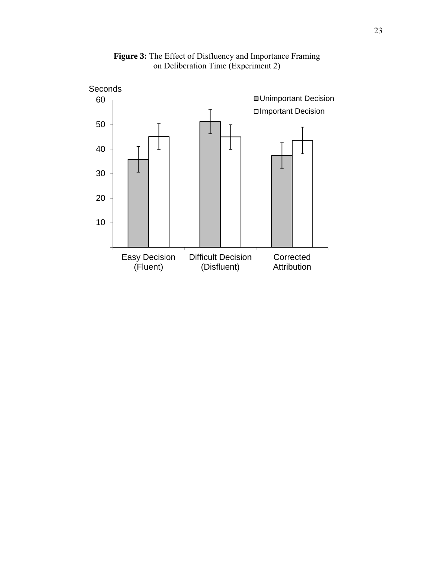

**Figure 3:** The Effect of Disfluency and Importance Framing on Deliberation Time (Experiment 2)